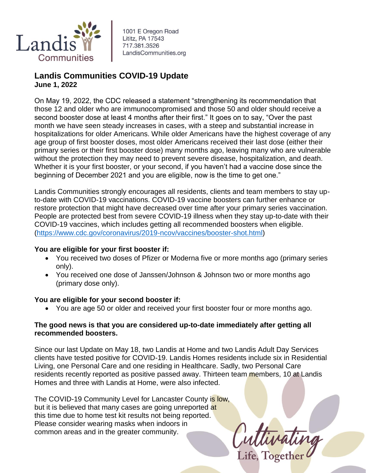

1001 E Oregon Road Lititz, PA 17543 717.381.3526 LandisCommunities.org

## **Landis Communities COVID-19 Update June 1, 2022**

On May 19, 2022, the CDC released a statement "strengthening its recommendation that those 12 and older who are immunocompromised and those 50 and older should receive a second booster dose at least 4 months after their first." It goes on to say, "Over the past month we have seen steady increases in cases, with a steep and substantial increase in hospitalizations for older Americans. While older Americans have the highest coverage of any age group of first booster doses, most older Americans received their last dose (either their primary series or their first booster dose) many months ago, leaving many who are vulnerable without the protection they may need to prevent severe disease, hospitalization, and death. Whether it is your first booster, or your second, if you haven't had a vaccine dose since the beginning of December 2021 and you are eligible, now is the time to get one."

Landis Communities strongly encourages all residents, clients and team members to stay upto-date with COVID-19 vaccinations. COVID-19 vaccine boosters can further enhance or restore protection that might have decreased over time after your primary series vaccination. People are protected best from severe COVID-19 illness when they stay up-to-date with their COVID-19 vaccines, which includes getting all recommended boosters when eligible. [\(https://www.cdc.gov/coronavirus/2019-ncov/vaccines/booster-shot.html\)](https://www.cdc.gov/coronavirus/2019-ncov/vaccines/booster-shot.html)

## **You are eligible for your first booster if:**

- You received two doses of Pfizer or Moderna five or more months ago (primary series only).
- You received one dose of Janssen/Johnson & Johnson two or more months ago (primary dose only).

## **You are eligible for your second booster if:**

You are age 50 or older and received your first booster four or more months ago.

## **The good news is that you are considered up-to-date immediately after getting all recommended boosters.**

Since our last Update on May 18, two Landis at Home and two Landis Adult Day Services clients have tested positive for COVID-19. Landis Homes residents include six in Residential Living, one Personal Care and one residing in Healthcare. Sadly, two Personal Care residents recently reported as positive passed away. Thirteen team members, 10 at Landis Homes and three with Landis at Home, were also infected.

The COVID-19 Community Level for Lancaster County is low, but it is believed that many cases are going unreported at this time due to home test kit results not being reported. Please consider wearing masks when indoors in common areas and in the greater community.

Cuttivating